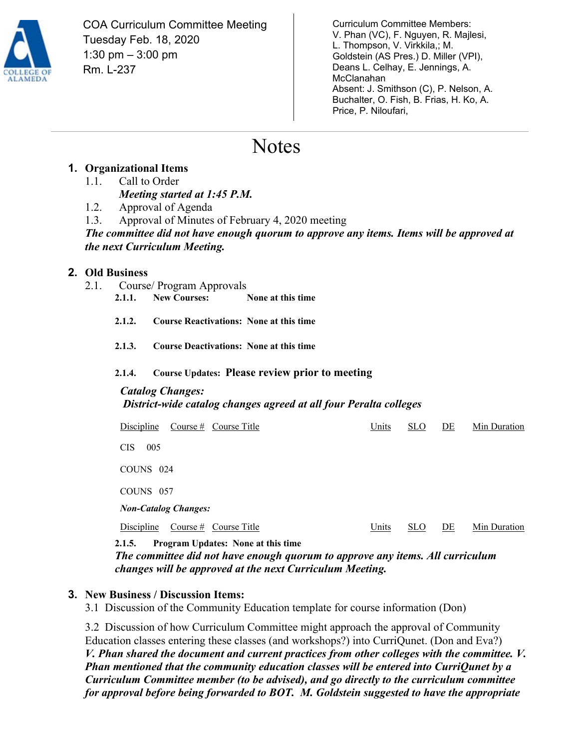

COA Curriculum Committee Meeting Tuesday Feb. 18, 2020 1:30 pm – 3:00 pm Rm. L-237

Curriculum Committee Members: V. Phan (VC), F. Nguyen, R. Majlesi, L. Thompson, V. Virkkila,; M. Goldstein (AS Pres.) D. Miller (VPI), Deans L. Celhay, E. Jennings, A. McClanahan Absent: J. Smithson (C), P. Nelson, A. Buchalter, O. Fish, B. Frias, H. Ko, A. Price, P. Niloufari,

# **Notes**

# **1. Organizational Items**

- 1.1. Call to Order *Meeting started at 1:45 P.M.*
- 1.2. Approval of Agenda
- 1.3. Approval of Minutes of February 4, 2020 meeting

*The committee did not have enough quorum to approve any items. Items will be approved at the next Curriculum Meeting.*

## **2. Old Business**

- 2.1. Course/ Program Approvals
	- **2.1.1. New Courses: None at this time**
		- **2.1.2. Course Reactivations: None at this time**
		- **2.1.3. Course Deactivations: None at this time**
		- **2.1.4. Course Updates: Please review prior to meeting**

#### *Catalog Changes: District-wide catalog changes agreed at all four Peralta colleges*

| Discipline<br>Course $#$ Course Title               | Units | <b>SLO</b> | DE | Min Duration |
|-----------------------------------------------------|-------|------------|----|--------------|
| 005<br><b>CIS</b>                                   |       |            |    |              |
| COUNS 024                                           |       |            |    |              |
| COUNS 057                                           |       |            |    |              |
| <b>Non-Catalog Changes:</b>                         |       |            |    |              |
| Discipline<br>Course $#$<br>Course Title            | Units | <b>SLO</b> | DE | Min Duration |
| <b>Program Updates:</b> None at this time<br>2.1.5. |       |            |    |              |

*The committee did not have enough quorum to approve any items. All curriculum changes will be approved at the next Curriculum Meeting.*

# **3. New Business / Discussion Items:**

3.1 Discussion of the Community Education template for course information (Don)

3.2 Discussion of how Curriculum Committee might approach the approval of Community Education classes entering these classes (and workshops?) into CurriQunet. (Don and Eva?) *V. Phan shared the document and current practices from other colleges with the committee. V. Phan mentioned that the community education classes will be entered into CurriQunet by a Curriculum Committee member (to be advised), and go directly to the curriculum committee for approval before being forwarded to BOT. M. Goldstein suggested to have the appropriate*